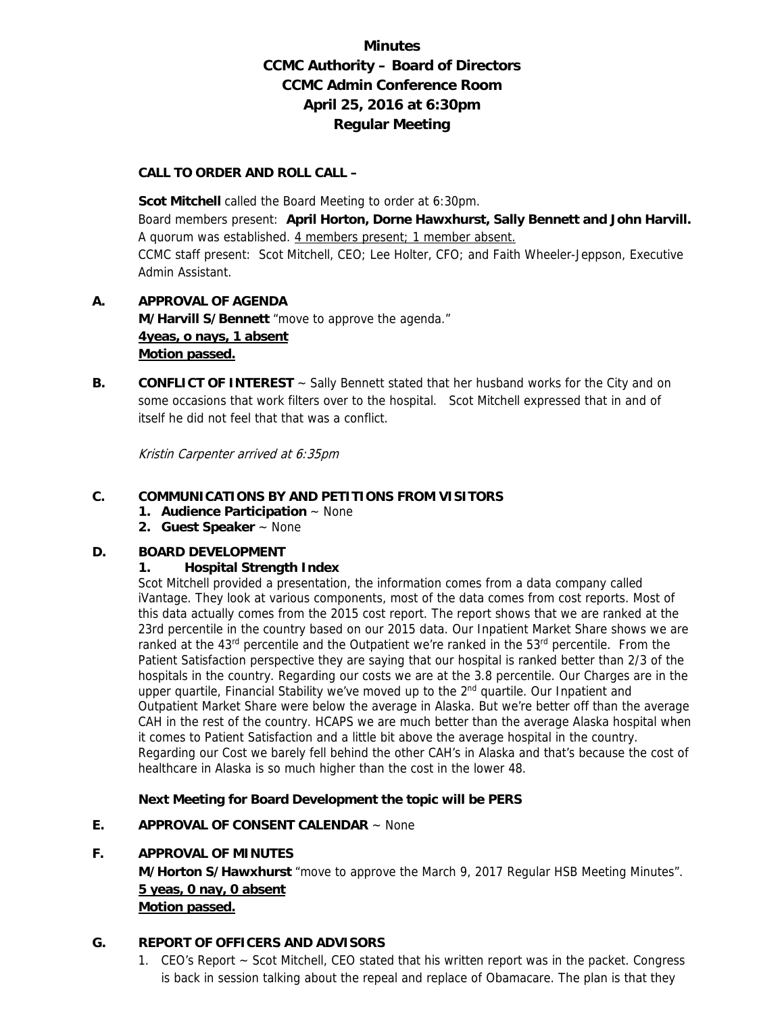## **Minutes CCMC Authority – Board of Directors CCMC Admin Conference Room April 25, 2016 at 6:30pm Regular Meeting**

#### **CALL TO ORDER AND ROLL CALL –**

 **Scot Mitchell** called the Board Meeting to order at 6:30pm. Board members present: **April Horton, Dorne Hawxhurst, Sally Bennett and John Harvill.**  A quorum was established. 4 members present; 1 member absent. CCMC staff present: Scot Mitchell, CEO; Lee Holter, CFO; and Faith Wheeler-Jeppson, Executive Admin Assistant.

## **A. APPROVAL OF AGENDA M/Harvill S/Bennett** "move to approve the agenda." **4yeas, o nays, 1 absent Motion passed.**

**B. CONFLICT OF INTEREST**  $\sim$  Sally Bennett stated that her husband works for the City and on some occasions that work filters over to the hospital. Scot Mitchell expressed that in and of itself he did not feel that that was a conflict.

Kristin Carpenter arrived at 6:35pm

#### **C. COMMUNICATIONS BY AND PETITIONS FROM VISITORS**

- **1. Audience Participation** ~ None
- **2. Guest Speaker** ~ None

#### **D. BOARD DEVELOPMENT**

#### **1. Hospital Strength Index**

Scot Mitchell provided a presentation, the information comes from a data company called iVantage. They look at various components, most of the data comes from cost reports. Most of this data actually comes from the 2015 cost report. The report shows that we are ranked at the 23rd percentile in the country based on our 2015 data. Our Inpatient Market Share shows we are ranked at the 43<sup>rd</sup> percentile and the Outpatient we're ranked in the 53<sup>rd</sup> percentile. From the Patient Satisfaction perspective they are saying that our hospital is ranked better than 2/3 of the hospitals in the country. Regarding our costs we are at the 3.8 percentile. Our Charges are in the upper quartile, Financial Stability we've moved up to the 2<sup>nd</sup> quartile. Our Inpatient and Outpatient Market Share were below the average in Alaska. But we're better off than the average CAH in the rest of the country. HCAPS we are much better than the average Alaska hospital when it comes to Patient Satisfaction and a little bit above the average hospital in the country. Regarding our Cost we barely fell behind the other CAH's in Alaska and that's because the cost of healthcare in Alaska is so much higher than the cost in the lower 48.

#### **Next Meeting for Board Development the topic will be PERS**

#### **E. APPROVAL OF CONSENT CALENDAR** ~ None

#### **F. APPROVAL OF MINUTES**

**M/Horton S/Hawxhurst** "move to approve the March 9, 2017 Regular HSB Meeting Minutes". **5 yeas, 0 nay, 0 absent Motion passed.**

#### **G. REPORT OF OFFICERS AND ADVISORS**

1. CEO's Report ~ Scot Mitchell, CEO stated that his written report was in the packet. Congress is back in session talking about the repeal and replace of Obamacare. The plan is that they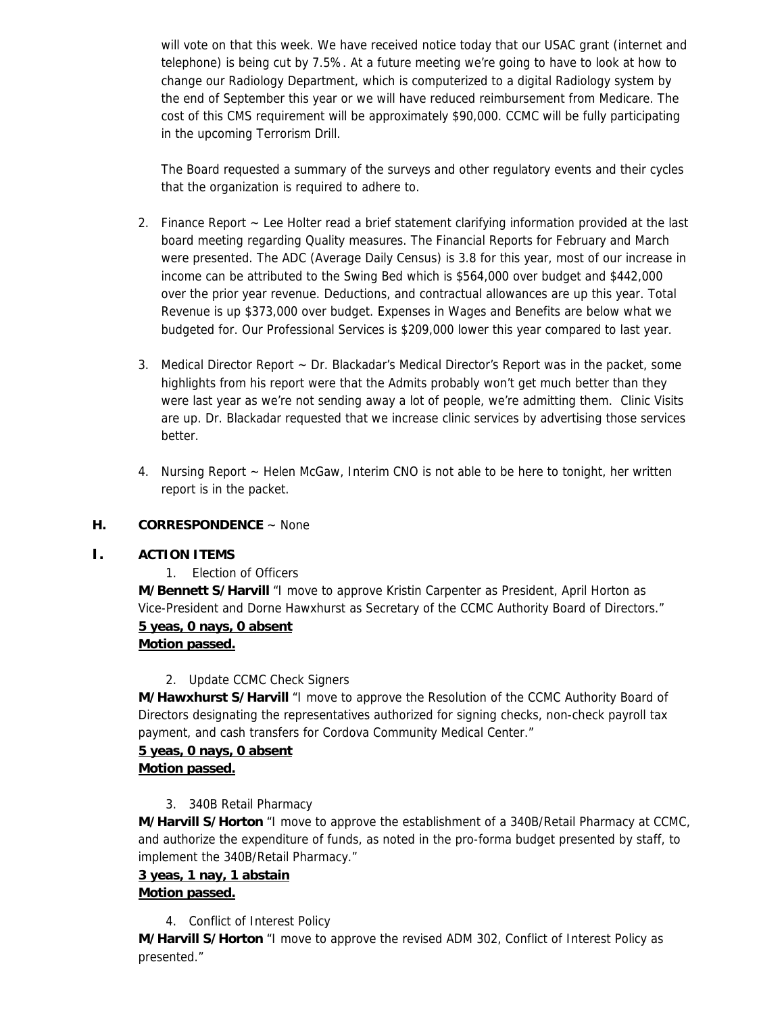will vote on that this week. We have received notice today that our USAC grant (internet and telephone) is being cut by 7.5%. At a future meeting we're going to have to look at how to change our Radiology Department, which is computerized to a digital Radiology system by the end of September this year or we will have reduced reimbursement from Medicare. The cost of this CMS requirement will be approximately \$90,000. CCMC will be fully participating in the upcoming Terrorism Drill.

The Board requested a summary of the surveys and other regulatory events and their cycles that the organization is required to adhere to.

- 2. Finance Report ~ Lee Holter read a brief statement clarifying information provided at the last board meeting regarding Quality measures. The Financial Reports for February and March were presented. The ADC (Average Daily Census) is 3.8 for this year, most of our increase in income can be attributed to the Swing Bed which is \$564,000 over budget and \$442,000 over the prior year revenue. Deductions, and contractual allowances are up this year. Total Revenue is up \$373,000 over budget. Expenses in Wages and Benefits are below what we budgeted for. Our Professional Services is \$209,000 lower this year compared to last year.
- 3. Medical Director Report ~ Dr. Blackadar's Medical Director's Report was in the packet, some highlights from his report were that the Admits probably won't get much better than they were last year as we're not sending away a lot of people, we're admitting them. Clinic Visits are up. Dr. Blackadar requested that we increase clinic services by advertising those services better.
- 4. Nursing Report ~ Helen McGaw, Interim CNO is not able to be here to tonight, her written report is in the packet.

## **H. CORRESPONDENCE** ~ None

#### **I. ACTION ITEMS**

1. Election of Officers

**M/Bennett S/Harvill** "I move to approve Kristin Carpenter as President, April Horton as Vice-President and Dorne Hawxhurst as Secretary of the CCMC Authority Board of Directors."

## **5 yeas, 0 nays, 0 absent**

## **Motion passed.**

#### 2. Update CCMC Check Signers

**M/Hawxhurst S/Harvill** "I move to approve the Resolution of the CCMC Authority Board of Directors designating the representatives authorized for signing checks, non-check payroll tax payment, and cash transfers for Cordova Community Medical Center."

#### **5 yeas, 0 nays, 0 absent Motion passed.**

#### 3. 340B Retail Pharmacy

**M/Harvill S/Horton** "I move to approve the establishment of a 340B/Retail Pharmacy at CCMC, and authorize the expenditure of funds, as noted in the pro-forma budget presented by staff, to implement the 340B/Retail Pharmacy."

# **3 yeas, 1 nay, 1 abstain**

## **Motion passed.**

4. Conflict of Interest Policy

**M/Harvill S/Horton** "I move to approve the revised ADM 302, Conflict of Interest Policy as presented."